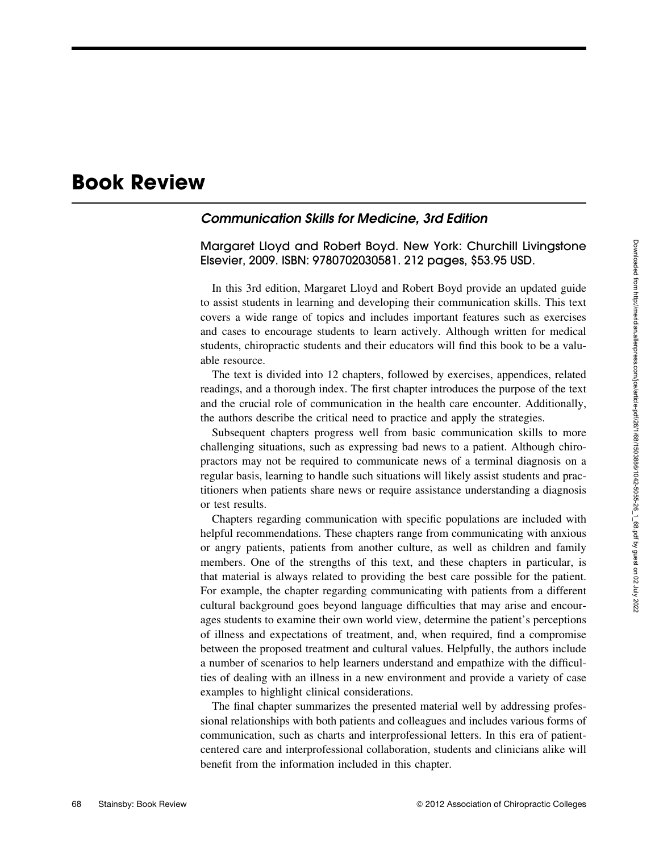## **Book Review**

## **Communication Skills for Medicine, 3rd Edition**

Margaret Lloyd and Robert Boyd. New York: Churchill Livingstone Elsevier, 2009. ISBN: 9780702030581. 212 pages, \$53.95 USD.

In this 3rd edition, Margaret Lloyd and Robert Boyd provide an updated guide to assist students in learning and developing their communication skills. This text covers a wide range of topics and includes important features such as exercises and cases to encourage students to learn actively. Although written for medical students, chiropractic students and their educators will find this book to be a valuable resource.

The text is divided into 12 chapters, followed by exercises, appendices, related readings, and a thorough index. The first chapter introduces the purpose of the text and the crucial role of communication in the health care encounter. Additionally, the authors describe the critical need to practice and apply the strategies.

Subsequent chapters progress well from basic communication skills to more challenging situations, such as expressing bad news to a patient. Although chiropractors may not be required to communicate news of a terminal diagnosis on a regular basis, learning to handle such situations will likely assist students and practitioners when patients share news or require assistance understanding a diagnosis or test results.

Chapters regarding communication with specific populations are included with helpful recommendations. These chapters range from communicating with anxious or angry patients, patients from another culture, as well as children and family members. One of the strengths of this text, and these chapters in particular, is that material is always related to providing the best care possible for the patient. For example, the chapter regarding communicating with patients from a different cultural background goes beyond language difficulties that may arise and encourages students to examine their own world view, determine the patient's perceptions of illness and expectations of treatment, and, when required, find a compromise between the proposed treatment and cultural values. Helpfully, the authors include a number of scenarios to help learners understand and empathize with the difficulties of dealing with an illness in a new environment and provide a variety of case examples to highlight clinical considerations.

The final chapter summarizes the presented material well by addressing professional relationships with both patients and colleagues and includes various forms of communication, such as charts and interprofessional letters. In this era of patientcentered care and interprofessional collaboration, students and clinicians alike will benefit from the information included in this chapter.